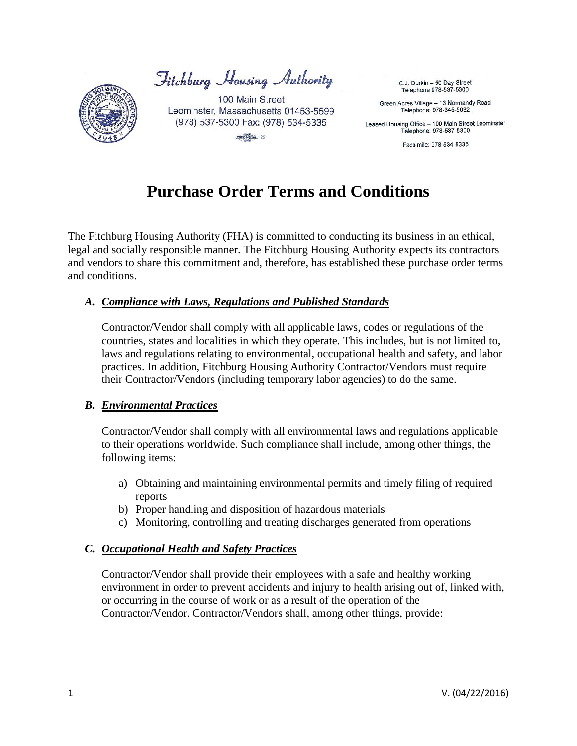

Jitchburg Housing Authority

100 Main Street Leominster, Massachusetts 01453-5599 (978) 537-5300 Fax: (978) 534-5335  $\frac{1}{\sqrt{2}}$ 

C.J. Durkin - 50 Day Street Telephone 978-537-5300

Green Acres Village - 13 Normandy Road Telephone: 978-345-5032

Leased Housing Office - 100 Main Street Leominster Telephone: 978-537-5300

Facsimile: 978-534-5335

# **Purchase Order Terms and Conditions**

The Fitchburg Housing Authority (FHA) is committed to conducting its business in an ethical, legal and socially responsible manner. The Fitchburg Housing Authority expects its contractors and vendors to share this commitment and, therefore, has established these purchase order terms and conditions.

# *A. Compliance with Laws, Regulations and Published Standards*

Contractor/Vendor shall comply with all applicable laws, codes or regulations of the countries, states and localities in which they operate. This includes, but is not limited to, laws and regulations relating to environmental, occupational health and safety, and labor practices. In addition, Fitchburg Housing Authority Contractor/Vendors must require their Contractor/Vendors (including temporary labor agencies) to do the same.

## *B. Environmental Practices*

Contractor/Vendor shall comply with all environmental laws and regulations applicable to their operations worldwide. Such compliance shall include, among other things, the following items:

- a) Obtaining and maintaining environmental permits and timely filing of required reports
- b) Proper handling and disposition of hazardous materials
- c) Monitoring, controlling and treating discharges generated from operations

## *C. Occupational Health and Safety Practices*

Contractor/Vendor shall provide their employees with a safe and healthy working environment in order to prevent accidents and injury to health arising out of, linked with, or occurring in the course of work or as a result of the operation of the Contractor/Vendor. Contractor/Vendors shall, among other things, provide: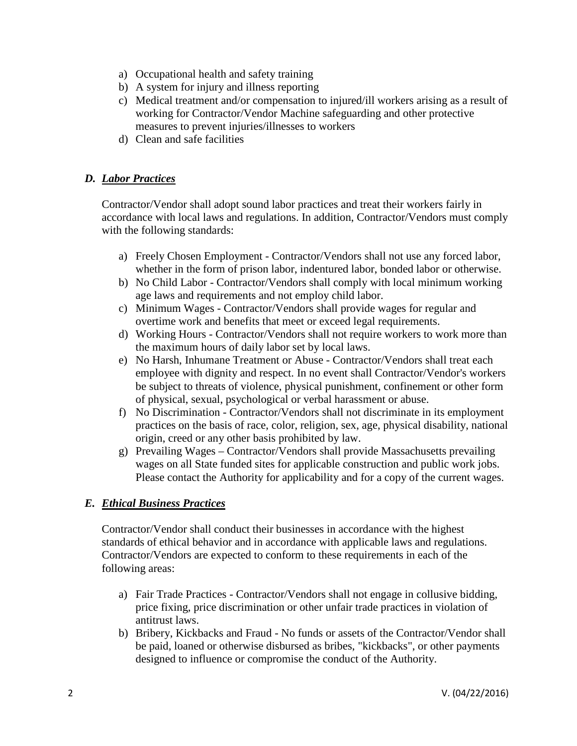- a) Occupational health and safety training
- b) A system for injury and illness reporting
- c) Medical treatment and/or compensation to injured/ill workers arising as a result of working for Contractor/Vendor Machine safeguarding and other protective measures to prevent injuries/illnesses to workers
- d) Clean and safe facilities

# *D. Labor Practices*

Contractor/Vendor shall adopt sound labor practices and treat their workers fairly in accordance with local laws and regulations. In addition, Contractor/Vendors must comply with the following standards:

- a) Freely Chosen Employment Contractor/Vendors shall not use any forced labor, whether in the form of prison labor, indentured labor, bonded labor or otherwise.
- b) No Child Labor Contractor/Vendors shall comply with local minimum working age laws and requirements and not employ child labor.
- c) Minimum Wages Contractor/Vendors shall provide wages for regular and overtime work and benefits that meet or exceed legal requirements.
- d) Working Hours Contractor/Vendors shall not require workers to work more than the maximum hours of daily labor set by local laws.
- e) No Harsh, Inhumane Treatment or Abuse Contractor/Vendors shall treat each employee with dignity and respect. In no event shall Contractor/Vendor's workers be subject to threats of violence, physical punishment, confinement or other form of physical, sexual, psychological or verbal harassment or abuse.
- f) No Discrimination Contractor/Vendors shall not discriminate in its employment practices on the basis of race, color, religion, sex, age, physical disability, national origin, creed or any other basis prohibited by law.
- g) Prevailing Wages Contractor/Vendors shall provide Massachusetts prevailing wages on all State funded sites for applicable construction and public work jobs. Please contact the Authority for applicability and for a copy of the current wages.

# *E. Ethical Business Practices*

Contractor/Vendor shall conduct their businesses in accordance with the highest standards of ethical behavior and in accordance with applicable laws and regulations. Contractor/Vendors are expected to conform to these requirements in each of the following areas:

- a) Fair Trade Practices Contractor/Vendors shall not engage in collusive bidding, price fixing, price discrimination or other unfair trade practices in violation of antitrust laws.
- b) Bribery, Kickbacks and Fraud No funds or assets of the Contractor/Vendor shall be paid, loaned or otherwise disbursed as bribes, "kickbacks", or other payments designed to influence or compromise the conduct of the Authority.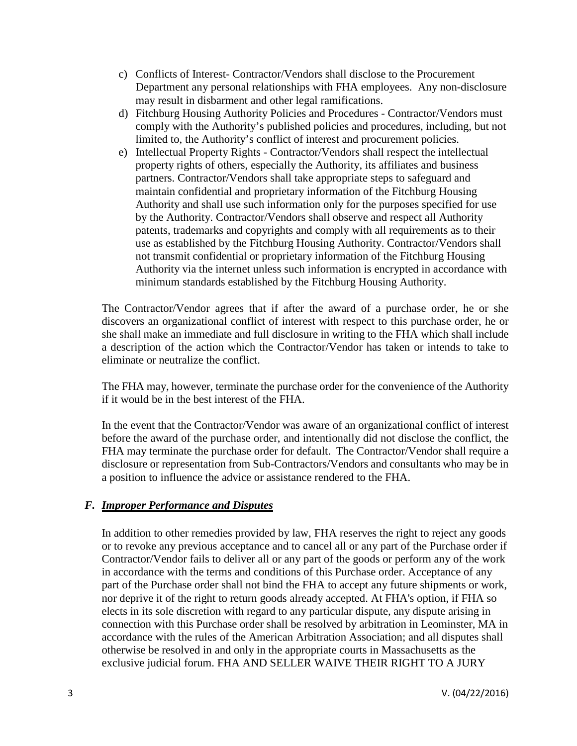- c) Conflicts of Interest- Contractor/Vendors shall disclose to the Procurement Department any personal relationships with FHA employees. Any non-disclosure may result in disbarment and other legal ramifications.
- d) Fitchburg Housing Authority Policies and Procedures Contractor/Vendors must comply with the Authority's published policies and procedures, including, but not limited to, the Authority's conflict of interest and procurement policies.
- e) Intellectual Property Rights Contractor/Vendors shall respect the intellectual property rights of others, especially the Authority, its affiliates and business partners. Contractor/Vendors shall take appropriate steps to safeguard and maintain confidential and proprietary information of the Fitchburg Housing Authority and shall use such information only for the purposes specified for use by the Authority. Contractor/Vendors shall observe and respect all Authority patents, trademarks and copyrights and comply with all requirements as to their use as established by the Fitchburg Housing Authority. Contractor/Vendors shall not transmit confidential or proprietary information of the Fitchburg Housing Authority via the internet unless such information is encrypted in accordance with minimum standards established by the Fitchburg Housing Authority.

The Contractor/Vendor agrees that if after the award of a purchase order, he or she discovers an organizational conflict of interest with respect to this purchase order, he or she shall make an immediate and full disclosure in writing to the FHA which shall include a description of the action which the Contractor/Vendor has taken or intends to take to eliminate or neutralize the conflict.

The FHA may, however, terminate the purchase order for the convenience of the Authority if it would be in the best interest of the FHA.

In the event that the Contractor/Vendor was aware of an organizational conflict of interest before the award of the purchase order, and intentionally did not disclose the conflict, the FHA may terminate the purchase order for default. The Contractor/Vendor shall require a disclosure or representation from Sub-Contractors/Vendors and consultants who may be in a position to influence the advice or assistance rendered to the FHA.

## *F. Improper Performance and Disputes*

In addition to other remedies provided by law, FHA reserves the right to reject any goods or to revoke any previous acceptance and to cancel all or any part of the Purchase order if Contractor/Vendor fails to deliver all or any part of the goods or perform any of the work in accordance with the terms and conditions of this Purchase order. Acceptance of any part of the Purchase order shall not bind the FHA to accept any future shipments or work, nor deprive it of the right to return goods already accepted. At FHA's option, if FHA so elects in its sole discretion with regard to any particular dispute, any dispute arising in connection with this Purchase order shall be resolved by arbitration in Leominster, MA in accordance with the rules of the American Arbitration Association; and all disputes shall otherwise be resolved in and only in the appropriate courts in Massachusetts as the exclusive judicial forum. FHA AND SELLER WAIVE THEIR RIGHT TO A JURY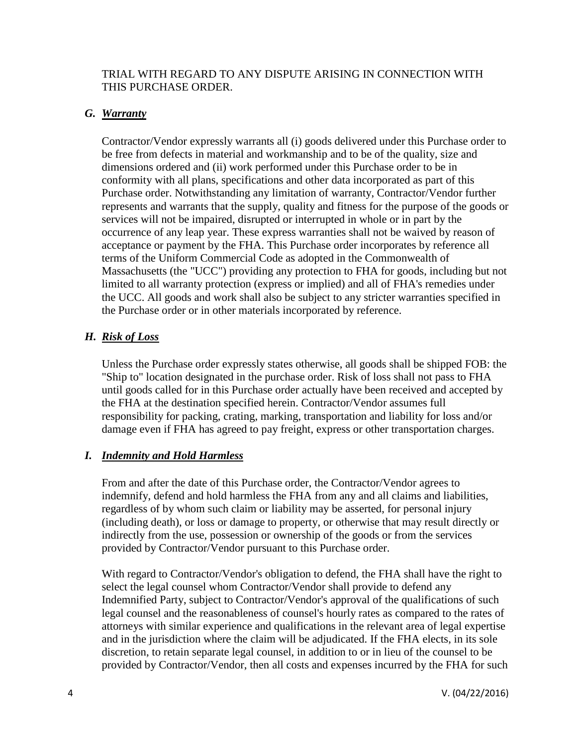#### TRIAL WITH REGARD TO ANY DISPUTE ARISING IN CONNECTION WITH THIS PURCHASE ORDER.

#### *G. Warranty*

Contractor/Vendor expressly warrants all (i) goods delivered under this Purchase order to be free from defects in material and workmanship and to be of the quality, size and dimensions ordered and (ii) work performed under this Purchase order to be in conformity with all plans, specifications and other data incorporated as part of this Purchase order. Notwithstanding any limitation of warranty, Contractor/Vendor further represents and warrants that the supply, quality and fitness for the purpose of the goods or services will not be impaired, disrupted or interrupted in whole or in part by the occurrence of any leap year. These express warranties shall not be waived by reason of acceptance or payment by the FHA. This Purchase order incorporates by reference all terms of the Uniform Commercial Code as adopted in the Commonwealth of Massachusetts (the "UCC") providing any protection to FHA for goods, including but not limited to all warranty protection (express or implied) and all of FHA's remedies under the UCC. All goods and work shall also be subject to any stricter warranties specified in the Purchase order or in other materials incorporated by reference.

## *H. Risk of Loss*

Unless the Purchase order expressly states otherwise, all goods shall be shipped FOB: the "Ship to" location designated in the purchase order. Risk of loss shall not pass to FHA until goods called for in this Purchase order actually have been received and accepted by the FHA at the destination specified herein. Contractor/Vendor assumes full responsibility for packing, crating, marking, transportation and liability for loss and/or damage even if FHA has agreed to pay freight, express or other transportation charges.

## *I. Indemnity and Hold Harmless*

From and after the date of this Purchase order, the Contractor/Vendor agrees to indemnify, defend and hold harmless the FHA from any and all claims and liabilities, regardless of by whom such claim or liability may be asserted, for personal injury (including death), or loss or damage to property, or otherwise that may result directly or indirectly from the use, possession or ownership of the goods or from the services provided by Contractor/Vendor pursuant to this Purchase order.

With regard to Contractor/Vendor's obligation to defend, the FHA shall have the right to select the legal counsel whom Contractor/Vendor shall provide to defend any Indemnified Party, subject to Contractor/Vendor's approval of the qualifications of such legal counsel and the reasonableness of counsel's hourly rates as compared to the rates of attorneys with similar experience and qualifications in the relevant area of legal expertise and in the jurisdiction where the claim will be adjudicated. If the FHA elects, in its sole discretion, to retain separate legal counsel, in addition to or in lieu of the counsel to be provided by Contractor/Vendor, then all costs and expenses incurred by the FHA for such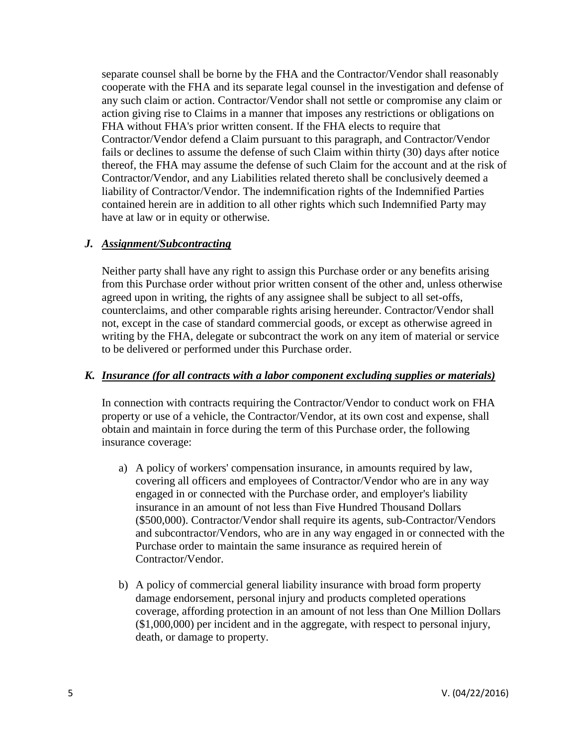separate counsel shall be borne by the FHA and the Contractor/Vendor shall reasonably cooperate with the FHA and its separate legal counsel in the investigation and defense of any such claim or action. Contractor/Vendor shall not settle or compromise any claim or action giving rise to Claims in a manner that imposes any restrictions or obligations on FHA without FHA's prior written consent. If the FHA elects to require that Contractor/Vendor defend a Claim pursuant to this paragraph, and Contractor/Vendor fails or declines to assume the defense of such Claim within thirty (30) days after notice thereof, the FHA may assume the defense of such Claim for the account and at the risk of Contractor/Vendor, and any Liabilities related thereto shall be conclusively deemed a liability of Contractor/Vendor. The indemnification rights of the Indemnified Parties contained herein are in addition to all other rights which such Indemnified Party may have at law or in equity or otherwise.

## *J. Assignment/Subcontracting*

Neither party shall have any right to assign this Purchase order or any benefits arising from this Purchase order without prior written consent of the other and, unless otherwise agreed upon in writing, the rights of any assignee shall be subject to all set-offs, counterclaims, and other comparable rights arising hereunder. Contractor/Vendor shall not, except in the case of standard commercial goods, or except as otherwise agreed in writing by the FHA, delegate or subcontract the work on any item of material or service to be delivered or performed under this Purchase order.

#### *K. Insurance (for all contracts with a labor component excluding supplies or materials)*

In connection with contracts requiring the Contractor/Vendor to conduct work on FHA property or use of a vehicle, the Contractor/Vendor, at its own cost and expense, shall obtain and maintain in force during the term of this Purchase order, the following insurance coverage:

- a) A policy of workers' compensation insurance, in amounts required by law, covering all officers and employees of Contractor/Vendor who are in any way engaged in or connected with the Purchase order, and employer's liability insurance in an amount of not less than Five Hundred Thousand Dollars (\$500,000). Contractor/Vendor shall require its agents, sub-Contractor/Vendors and subcontractor/Vendors, who are in any way engaged in or connected with the Purchase order to maintain the same insurance as required herein of Contractor/Vendor.
- b) A policy of commercial general liability insurance with broad form property damage endorsement, personal injury and products completed operations coverage, affording protection in an amount of not less than One Million Dollars (\$1,000,000) per incident and in the aggregate, with respect to personal injury, death, or damage to property.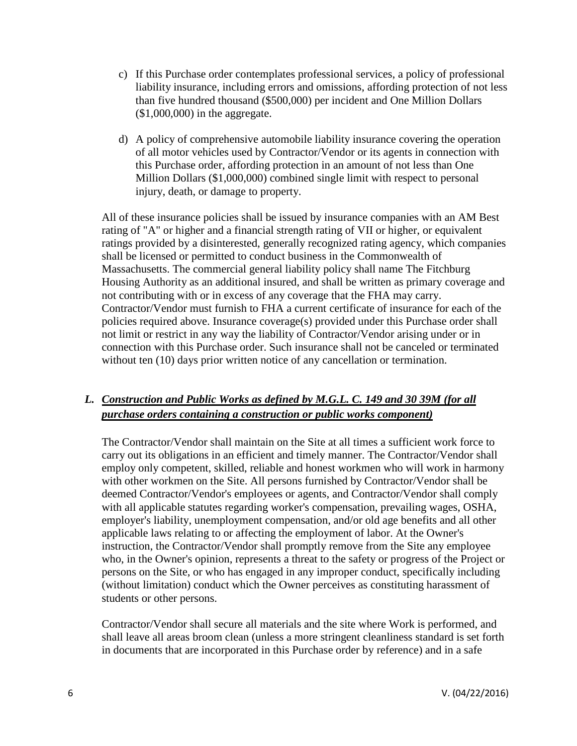- c) If this Purchase order contemplates professional services, a policy of professional liability insurance, including errors and omissions, affording protection of not less than five hundred thousand (\$500,000) per incident and One Million Dollars  $($1,000,000)$  in the aggregate.
- d) A policy of comprehensive automobile liability insurance covering the operation of all motor vehicles used by Contractor/Vendor or its agents in connection with this Purchase order, affording protection in an amount of not less than One Million Dollars (\$1,000,000) combined single limit with respect to personal injury, death, or damage to property.

All of these insurance policies shall be issued by insurance companies with an AM Best rating of "A" or higher and a financial strength rating of VII or higher, or equivalent ratings provided by a disinterested, generally recognized rating agency, which companies shall be licensed or permitted to conduct business in the Commonwealth of Massachusetts. The commercial general liability policy shall name The Fitchburg Housing Authority as an additional insured, and shall be written as primary coverage and not contributing with or in excess of any coverage that the FHA may carry. Contractor/Vendor must furnish to FHA a current certificate of insurance for each of the policies required above. Insurance coverage(s) provided under this Purchase order shall not limit or restrict in any way the liability of Contractor/Vendor arising under or in connection with this Purchase order. Such insurance shall not be canceled or terminated without ten (10) days prior written notice of any cancellation or termination.

# *L. Construction and Public Works as defined by M.G.L. C. 149 and 30 39M (for all purchase orders containing a construction or public works component)*

The Contractor/Vendor shall maintain on the Site at all times a sufficient work force to carry out its obligations in an efficient and timely manner. The Contractor/Vendor shall employ only competent, skilled, reliable and honest workmen who will work in harmony with other workmen on the Site. All persons furnished by Contractor/Vendor shall be deemed Contractor/Vendor's employees or agents, and Contractor/Vendor shall comply with all applicable statutes regarding worker's compensation, prevailing wages, OSHA, employer's liability, unemployment compensation, and/or old age benefits and all other applicable laws relating to or affecting the employment of labor. At the Owner's instruction, the Contractor/Vendor shall promptly remove from the Site any employee who, in the Owner's opinion, represents a threat to the safety or progress of the Project or persons on the Site, or who has engaged in any improper conduct, specifically including (without limitation) conduct which the Owner perceives as constituting harassment of students or other persons.

Contractor/Vendor shall secure all materials and the site where Work is performed, and shall leave all areas broom clean (unless a more stringent cleanliness standard is set forth in documents that are incorporated in this Purchase order by reference) and in a safe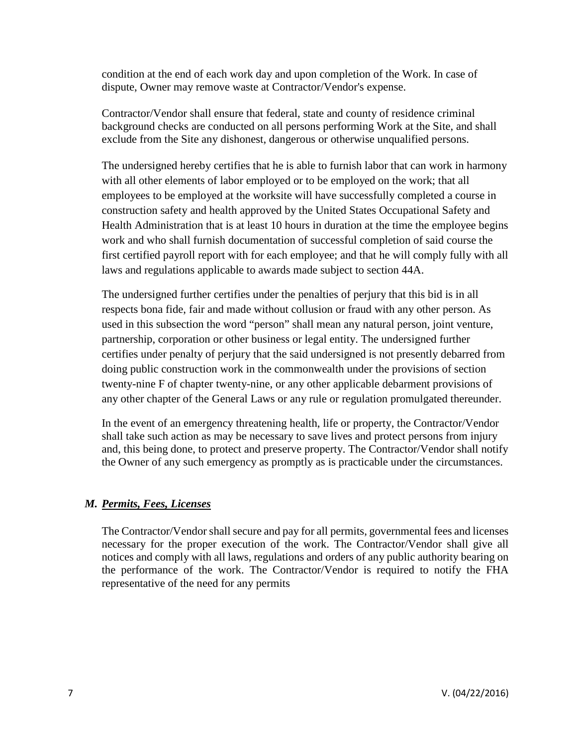condition at the end of each work day and upon completion of the Work. In case of dispute, Owner may remove waste at Contractor/Vendor's expense.

Contractor/Vendor shall ensure that federal, state and county of residence criminal background checks are conducted on all persons performing Work at the Site, and shall exclude from the Site any dishonest, dangerous or otherwise unqualified persons.

The undersigned hereby certifies that he is able to furnish labor that can work in harmony with all other elements of labor employed or to be employed on the work; that all employees to be employed at the worksite will have successfully completed a course in construction safety and health approved by the United States Occupational Safety and Health Administration that is at least 10 hours in duration at the time the employee begins work and who shall furnish documentation of successful completion of said course the first certified payroll report with for each employee; and that he will comply fully with all laws and regulations applicable to awards made subject to section 44A.

The undersigned further certifies under the penalties of perjury that this bid is in all respects bona fide, fair and made without collusion or fraud with any other person. As used in this subsection the word "person" shall mean any natural person, joint venture, partnership, corporation or other business or legal entity. The undersigned further certifies under penalty of perjury that the said undersigned is not presently debarred from doing public construction work in the commonwealth under the provisions of section twenty-nine F of chapter twenty-nine, or any other applicable debarment provisions of any other chapter of the General Laws or any rule or regulation promulgated thereunder.

In the event of an emergency threatening health, life or property, the Contractor/Vendor shall take such action as may be necessary to save lives and protect persons from injury and, this being done, to protect and preserve property. The Contractor/Vendor shall notify the Owner of any such emergency as promptly as is practicable under the circumstances.

## *M. Permits, Fees, Licenses*

The Contractor/Vendor shall secure and pay for all permits, governmental fees and licenses necessary for the proper execution of the work. The Contractor/Vendor shall give all notices and comply with all laws, regulations and orders of any public authority bearing on the performance of the work. The Contractor/Vendor is required to notify the FHA representative of the need for any permits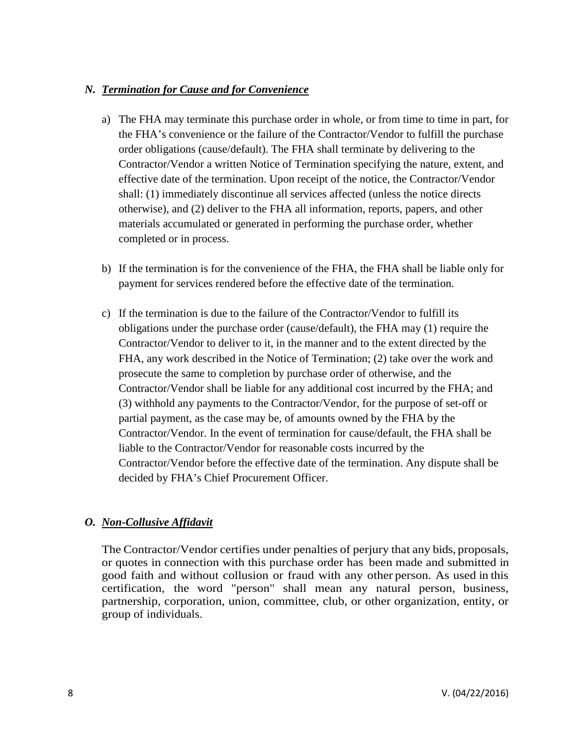## *N. Termination for Cause and for Convenience*

- a) The FHA may terminate this purchase order in whole, or from time to time in part, for the FHA's convenience or the failure of the Contractor/Vendor to fulfill the purchase order obligations (cause/default). The FHA shall terminate by delivering to the Contractor/Vendor a written Notice of Termination specifying the nature, extent, and effective date of the termination. Upon receipt of the notice, the Contractor/Vendor shall: (1) immediately discontinue all services affected (unless the notice directs otherwise), and (2) deliver to the FHA all information, reports, papers, and other materials accumulated or generated in performing the purchase order, whether completed or in process.
- b) If the termination is for the convenience of the FHA, the FHA shall be liable only for payment for services rendered before the effective date of the termination.
- c) If the termination is due to the failure of the Contractor/Vendor to fulfill its obligations under the purchase order (cause/default), the FHA may (1) require the Contractor/Vendor to deliver to it, in the manner and to the extent directed by the FHA, any work described in the Notice of Termination; (2) take over the work and prosecute the same to completion by purchase order of otherwise, and the Contractor/Vendor shall be liable for any additional cost incurred by the FHA; and (3) withhold any payments to the Contractor/Vendor, for the purpose of set-off or partial payment, as the case may be, of amounts owned by the FHA by the Contractor/Vendor. In the event of termination for cause/default, the FHA shall be liable to the Contractor/Vendor for reasonable costs incurred by the Contractor/Vendor before the effective date of the termination. Any dispute shall be decided by FHA's Chief Procurement Officer.

## *O. Non-Collusive Affidavit*

The Contractor/Vendor certifies under penalties of perjury that any bids, proposals, or quotes in connection with this purchase order has been made and submitted in good faith and without collusion or fraud with any other person. As used in this certification, the word "person" shall mean any natural person, business, partnership, corporation, union, committee, club, or other organization, entity, or group of individuals.